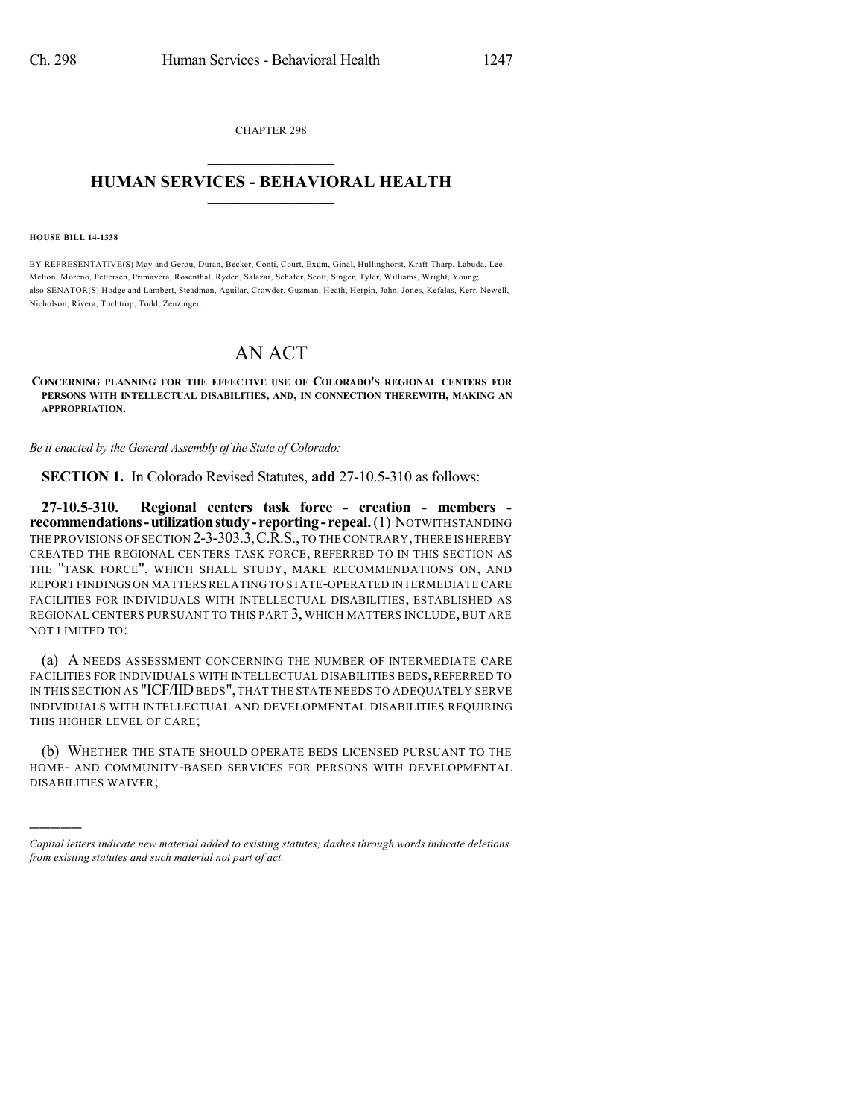CHAPTER 298  $\overline{\phantom{a}}$  . The set of the set of the set of the set of the set of the set of the set of the set of the set of the set of the set of the set of the set of the set of the set of the set of the set of the set of the set o

## **HUMAN SERVICES - BEHAVIORAL HEALTH**  $\frac{1}{2}$  ,  $\frac{1}{2}$  ,  $\frac{1}{2}$  ,  $\frac{1}{2}$  ,  $\frac{1}{2}$  ,  $\frac{1}{2}$  ,  $\frac{1}{2}$

## **HOUSE BILL 14-1338**

)))))

BY REPRESENTATIVE(S) May and Gerou, Duran, Becker, Conti, Court, Exum, Ginal, Hullinghorst, Kraft-Tharp, Labuda, Lee, Melton, Moreno, Pettersen, Primavera, Rosenthal, Ryden, Salazar, Schafer, Scott, Singer, Tyler, Williams, Wright, Young; also SENATOR(S) Hodge and Lambert, Steadman, Aguilar, Crowder, Guzman, Heath, Herpin, Jahn, Jones, Kefalas, Kerr, Newell, Nicholson, Rivera, Tochtrop, Todd, Zenzinger.

## AN ACT

## **CONCERNING PLANNING FOR THE EFFECTIVE USE OF COLORADO'S REGIONAL CENTERS FOR PERSONS WITH INTELLECTUAL DISABILITIES, AND, IN CONNECTION THEREWITH, MAKING AN APPROPRIATION.**

*Be it enacted by the General Assembly of the State of Colorado:*

**SECTION 1.** In Colorado Revised Statutes, **add** 27-10.5-310 as follows:

**27-10.5-310. Regional centers task force - creation - members recommendations-utilizationstudy- reporting- repeal.**(1) NOTWITHSTANDING THE PROVISIONS OF SECTION 2-3-303.3, C.R.S., TO THE CONTRARY, THERE IS HEREBY CREATED THE REGIONAL CENTERS TASK FORCE, REFERRED TO IN THIS SECTION AS THE "TASK FORCE", WHICH SHALL STUDY, MAKE RECOMMENDATIONS ON, AND REPORT FINDINGS ON MATTERS RELATING TO STATE-OPERATED INTERMEDIATE CARE FACILITIES FOR INDIVIDUALS WITH INTELLECTUAL DISABILITIES, ESTABLISHED AS REGIONAL CENTERS PURSUANT TO THIS PART 3, WHICH MATTERS INCLUDE, BUT ARE NOT LIMITED TO:

(a) A NEEDS ASSESSMENT CONCERNING THE NUMBER OF INTERMEDIATE CARE FACILITIES FOR INDIVIDUALS WITH INTELLECTUAL DISABILITIES BEDS, REFERRED TO IN THIS SECTION AS "ICF/IID BEDS", THAT THE STATE NEEDS TO ADEQUATELY SERVE INDIVIDUALS WITH INTELLECTUAL AND DEVELOPMENTAL DISABILITIES REQUIRING THIS HIGHER LEVEL OF CARE;

(b) WHETHER THE STATE SHOULD OPERATE BEDS LICENSED PURSUANT TO THE HOME- AND COMMUNITY-BASED SERVICES FOR PERSONS WITH DEVELOPMENTAL DISABILITIES WAIVER;

*Capital letters indicate new material added to existing statutes; dashes through words indicate deletions from existing statutes and such material not part of act.*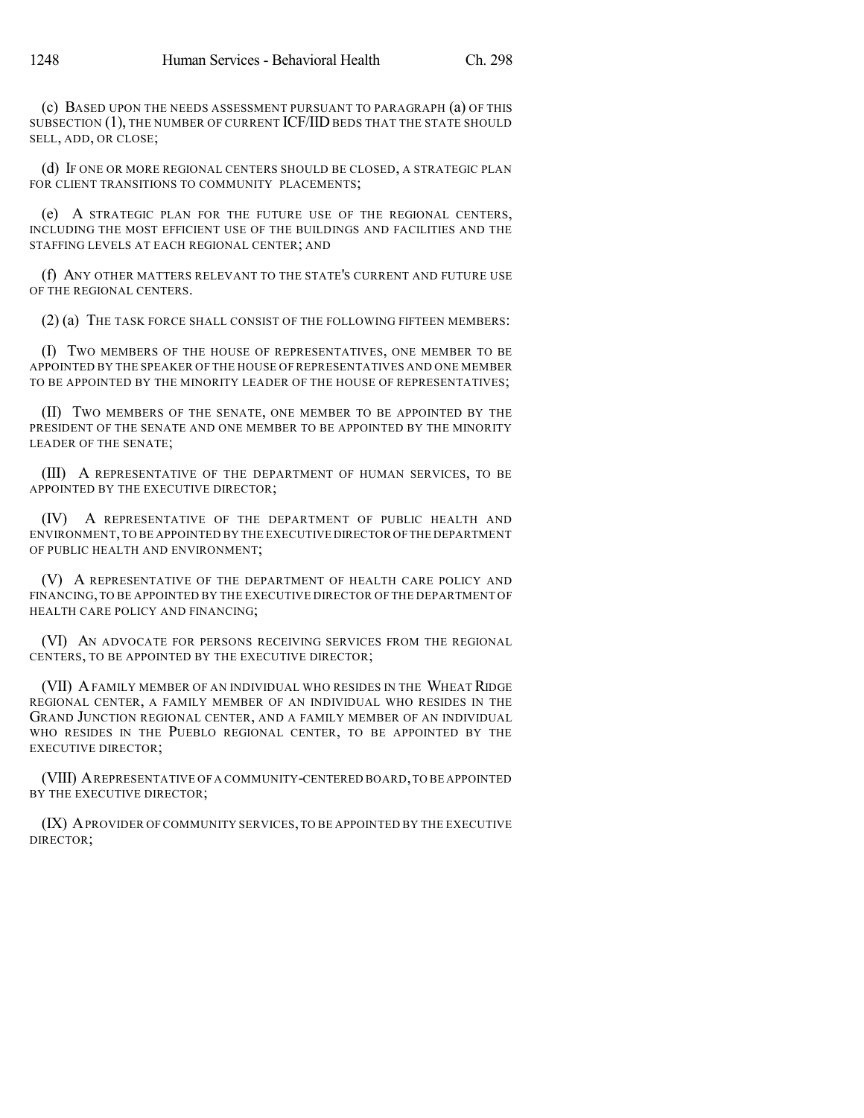(c) BASED UPON THE NEEDS ASSESSMENT PURSUANT TO PARAGRAPH (a) OF THIS SUBSECTION (1), THE NUMBER OF CURRENT ICF/IID BEDS THAT THE STATE SHOULD SELL, ADD, OR CLOSE;

(d) IF ONE OR MORE REGIONAL CENTERS SHOULD BE CLOSED, A STRATEGIC PLAN FOR CLIENT TRANSITIONS TO COMMUNITY PLACEMENTS;

(e) A STRATEGIC PLAN FOR THE FUTURE USE OF THE REGIONAL CENTERS, INCLUDING THE MOST EFFICIENT USE OF THE BUILDINGS AND FACILITIES AND THE STAFFING LEVELS AT EACH REGIONAL CENTER; AND

(f) ANY OTHER MATTERS RELEVANT TO THE STATE'S CURRENT AND FUTURE USE OF THE REGIONAL CENTERS.

(2) (a) THE TASK FORCE SHALL CONSIST OF THE FOLLOWING FIFTEEN MEMBERS:

(I) TWO MEMBERS OF THE HOUSE OF REPRESENTATIVES, ONE MEMBER TO BE APPOINTED BY THE SPEAKER OF THE HOUSE OF REPRESENTATIVES AND ONE MEMBER TO BE APPOINTED BY THE MINORITY LEADER OF THE HOUSE OF REPRESENTATIVES;

(II) TWO MEMBERS OF THE SENATE, ONE MEMBER TO BE APPOINTED BY THE PRESIDENT OF THE SENATE AND ONE MEMBER TO BE APPOINTED BY THE MINORITY LEADER OF THE SENATE;

(III) A REPRESENTATIVE OF THE DEPARTMENT OF HUMAN SERVICES, TO BE APPOINTED BY THE EXECUTIVE DIRECTOR;

(IV) A REPRESENTATIVE OF THE DEPARTMENT OF PUBLIC HEALTH AND ENVIRONMENT,TO BE APPOINTED BY THE EXECUTIVE DIRECTOR OFTHE DEPARTMENT OF PUBLIC HEALTH AND ENVIRONMENT;

(V) A REPRESENTATIVE OF THE DEPARTMENT OF HEALTH CARE POLICY AND FINANCING,TO BE APPOINTED BY THE EXECUTIVE DIRECTOR OF THE DEPARTMENT OF HEALTH CARE POLICY AND FINANCING;

(VI) AN ADVOCATE FOR PERSONS RECEIVING SERVICES FROM THE REGIONAL CENTERS, TO BE APPOINTED BY THE EXECUTIVE DIRECTOR;

(VII) AFAMILY MEMBER OF AN INDIVIDUAL WHO RESIDES IN THE WHEAT RIDGE REGIONAL CENTER, A FAMILY MEMBER OF AN INDIVIDUAL WHO RESIDES IN THE GRAND JUNCTION REGIONAL CENTER, AND A FAMILY MEMBER OF AN INDIVIDUAL WHO RESIDES IN THE PUEBLO REGIONAL CENTER, TO BE APPOINTED BY THE EXECUTIVE DIRECTOR;

(VIII) AREPRESENTATIVE OF A COMMUNITY-CENTERED BOARD,TO BE APPOINTED BY THE EXECUTIVE DIRECTOR;

(IX) APROVIDER OF COMMUNITY SERVICES,TO BE APPOINTED BY THE EXECUTIVE DIRECTOR;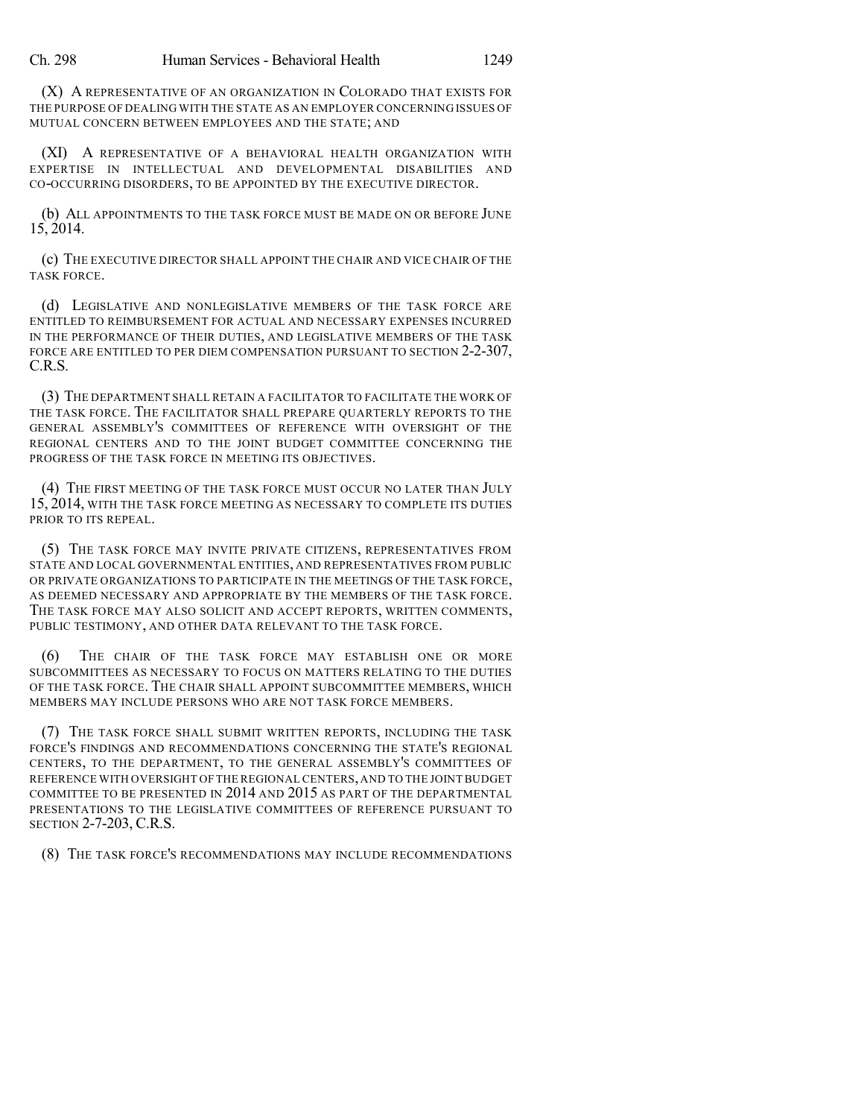(X) A REPRESENTATIVE OF AN ORGANIZATION IN COLORADO THAT EXISTS FOR THE PURPOSE OF DEALING WITH THE STATE AS AN EMPLOYER CONCERNING ISSUES OF MUTUAL CONCERN BETWEEN EMPLOYEES AND THE STATE; AND

(XI) A REPRESENTATIVE OF A BEHAVIORAL HEALTH ORGANIZATION WITH EXPERTISE IN INTELLECTUAL AND DEVELOPMENTAL DISABILITIES AND CO-OCCURRING DISORDERS, TO BE APPOINTED BY THE EXECUTIVE DIRECTOR.

(b) ALL APPOINTMENTS TO THE TASK FORCE MUST BE MADE ON OR BEFORE JUNE 15, 2014.

(c) THE EXECUTIVE DIRECTOR SHALL APPOINT THE CHAIR AND VICE CHAIR OF THE TASK FORCE.

(d) LEGISLATIVE AND NONLEGISLATIVE MEMBERS OF THE TASK FORCE ARE ENTITLED TO REIMBURSEMENT FOR ACTUAL AND NECESSARY EXPENSES INCURRED IN THE PERFORMANCE OF THEIR DUTIES, AND LEGISLATIVE MEMBERS OF THE TASK FORCE ARE ENTITLED TO PER DIEM COMPENSATION PURSUANT TO SECTION 2-2-307, C.R.S.

(3) THE DEPARTMENT SHALL RETAIN A FACILITATOR TO FACILITATE THE WORK OF THE TASK FORCE. THE FACILITATOR SHALL PREPARE QUARTERLY REPORTS TO THE GENERAL ASSEMBLY'S COMMITTEES OF REFERENCE WITH OVERSIGHT OF THE REGIONAL CENTERS AND TO THE JOINT BUDGET COMMITTEE CONCERNING THE PROGRESS OF THE TASK FORCE IN MEETING ITS OBJECTIVES.

(4) THE FIRST MEETING OF THE TASK FORCE MUST OCCUR NO LATER THAN JULY 15, 2014, WITH THE TASK FORCE MEETING AS NECESSARY TO COMPLETE ITS DUTIES PRIOR TO ITS REPEAL.

(5) THE TASK FORCE MAY INVITE PRIVATE CITIZENS, REPRESENTATIVES FROM STATE AND LOCAL GOVERNMENTAL ENTITIES, AND REPRESENTATIVES FROM PUBLIC OR PRIVATE ORGANIZATIONS TO PARTICIPATE IN THE MEETINGS OF THE TASK FORCE, AS DEEMED NECESSARY AND APPROPRIATE BY THE MEMBERS OF THE TASK FORCE. THE TASK FORCE MAY ALSO SOLICIT AND ACCEPT REPORTS, WRITTEN COMMENTS, PUBLIC TESTIMONY, AND OTHER DATA RELEVANT TO THE TASK FORCE.

(6) THE CHAIR OF THE TASK FORCE MAY ESTABLISH ONE OR MORE SUBCOMMITTEES AS NECESSARY TO FOCUS ON MATTERS RELATING TO THE DUTIES OF THE TASK FORCE. THE CHAIR SHALL APPOINT SUBCOMMITTEE MEMBERS, WHICH MEMBERS MAY INCLUDE PERSONS WHO ARE NOT TASK FORCE MEMBERS.

(7) THE TASK FORCE SHALL SUBMIT WRITTEN REPORTS, INCLUDING THE TASK FORCE'S FINDINGS AND RECOMMENDATIONS CONCERNING THE STATE'S REGIONAL CENTERS, TO THE DEPARTMENT, TO THE GENERAL ASSEMBLY'S COMMITTEES OF REFERENCE WITH OVERSIGHT OF THE REGIONAL CENTERS,AND TO THE JOINTBUDGET COMMITTEE TO BE PRESENTED IN 2014 AND 2015 AS PART OF THE DEPARTMENTAL PRESENTATIONS TO THE LEGISLATIVE COMMITTEES OF REFERENCE PURSUANT TO SECTION 2-7-203, C.R.S.

(8) THE TASK FORCE'S RECOMMENDATIONS MAY INCLUDE RECOMMENDATIONS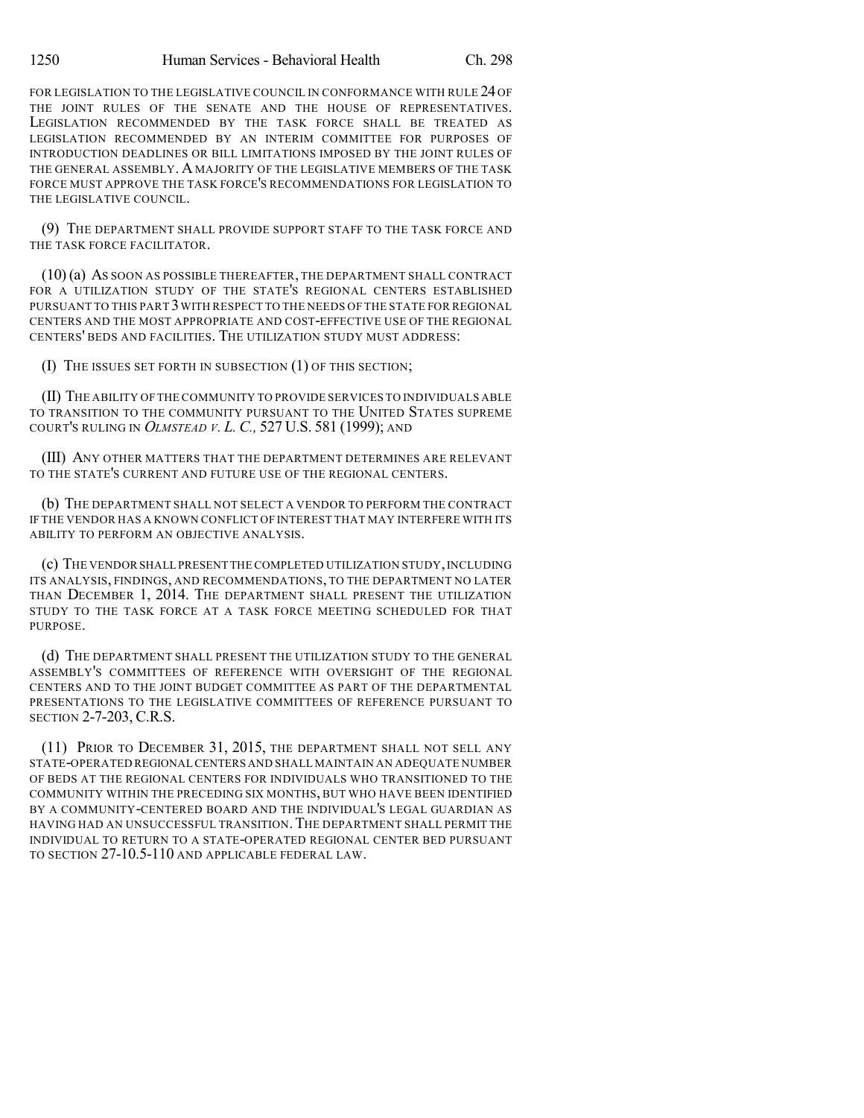FOR LEGISLATION TO THE LEGISLATIVE COUNCIL IN CONFORMANCE WITH RULE 24 OF THE JOINT RULES OF THE SENATE AND THE HOUSE OF REPRESENTATIVES. LEGISLATION RECOMMENDED BY THE TASK FORCE SHALL BE TREATED AS LEGISLATION RECOMMENDED BY AN INTERIM COMMITTEE FOR PURPOSES OF INTRODUCTION DEADLINES OR BILL LIMITATIONS IMPOSED BY THE JOINT RULES OF THE GENERAL ASSEMBLY. A MAJORITY OF THE LEGISLATIVE MEMBERS OF THE TASK FORCE MUST APPROVE THE TASK FORCE'S RECOMMENDATIONS FOR LEGISLATION TO THE LEGISLATIVE COUNCIL.

(9) THE DEPARTMENT SHALL PROVIDE SUPPORT STAFF TO THE TASK FORCE AND THE TASK FORCE FACILITATOR.

(10) (a) AS SOON AS POSSIBLE THEREAFTER, THE DEPARTMENT SHALL CONTRACT FOR A UTILIZATION STUDY OF THE STATE'S REGIONAL CENTERS ESTABLISHED PURSUANT TO THIS PART 3WITH RESPECT TO THE NEEDS OF THE STATE FOR REGIONAL CENTERS AND THE MOST APPROPRIATE AND COST-EFFECTIVE USE OF THE REGIONAL CENTERS' BEDS AND FACILITIES. THE UTILIZATION STUDY MUST ADDRESS:

(I) THE ISSUES SET FORTH IN SUBSECTION (1) OF THIS SECTION;

(II) THE ABILITY OF THE COMMUNITY TO PROVIDE SERVICES TO INDIVIDUALS ABLE TO TRANSITION TO THE COMMUNITY PURSUANT TO THE UNITED STATES SUPREME COURT'S RULING IN *OLMSTEAD V. L. C.,* 527 U.S. 581 (1999); AND

(III) ANY OTHER MATTERS THAT THE DEPARTMENT DETERMINES ARE RELEVANT TO THE STATE'S CURRENT AND FUTURE USE OF THE REGIONAL CENTERS.

(b) THE DEPARTMENT SHALL NOT SELECT A VENDOR TO PERFORM THE CONTRACT IF THE VENDOR HAS A KNOWN CONFLICT OF INTEREST THAT MAY INTERFERE WITH ITS ABILITY TO PERFORM AN OBJECTIVE ANALYSIS.

(c) THE VENDORSHALL PRESENT THECOMPLETED UTILIZATION STUDY,INCLUDING ITS ANALYSIS, FINDINGS, AND RECOMMENDATIONS, TO THE DEPARTMENT NO LATER THAN DECEMBER 1, 2014. THE DEPARTMENT SHALL PRESENT THE UTILIZATION STUDY TO THE TASK FORCE AT A TASK FORCE MEETING SCHEDULED FOR THAT PURPOSE.

(d) THE DEPARTMENT SHALL PRESENT THE UTILIZATION STUDY TO THE GENERAL ASSEMBLY'S COMMITTEES OF REFERENCE WITH OVERSIGHT OF THE REGIONAL CENTERS AND TO THE JOINT BUDGET COMMITTEE AS PART OF THE DEPARTMENTAL PRESENTATIONS TO THE LEGISLATIVE COMMITTEES OF REFERENCE PURSUANT TO SECTION 2-7-203, C.R.S.

(11) PRIOR TO DECEMBER 31, 2015, THE DEPARTMENT SHALL NOT SELL ANY STATE-OPERATED REGIONAL CENTERS AND SHALL MAINTAIN AN ADEQUATE NUMBER OF BEDS AT THE REGIONAL CENTERS FOR INDIVIDUALS WHO TRANSITIONED TO THE COMMUNITY WITHIN THE PRECEDING SIX MONTHS, BUT WHO HAVE BEEN IDENTIFIED BY A COMMUNITY-CENTERED BOARD AND THE INDIVIDUAL'S LEGAL GUARDIAN AS HAVING HAD AN UNSUCCESSFUL TRANSITION. THE DEPARTMENT SHALL PERMIT THE INDIVIDUAL TO RETURN TO A STATE-OPERATED REGIONAL CENTER BED PURSUANT TO SECTION 27-10.5-110 AND APPLICABLE FEDERAL LAW.